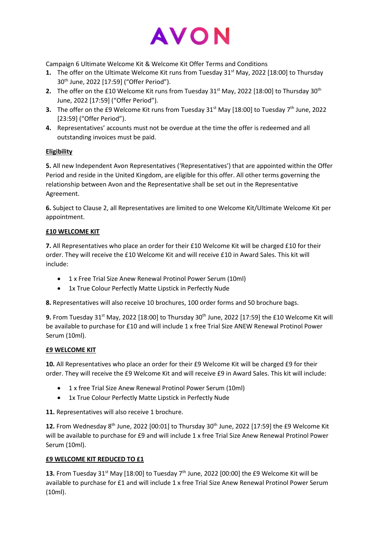

Campaign 6 Ultimate Welcome Kit & Welcome Kit Offer Terms and Conditions

- **1.** The offer on the Ultimate Welcome Kit runs from Tuesday 31<sup>st</sup> May, 2022 [18:00] to Thursday 30th June, 2022 [17:59] ("Offer Period").
- **2.** The offer on the £10 Welcome Kit runs from Tuesday 31<sup>st</sup> May, 2022 [18:00] to Thursday 30<sup>th</sup> June, 2022 [17:59] ("Offer Period").
- **3.** The offer on the £9 Welcome Kit runs from Tuesday 31<sup>st</sup> May [18:00] to Tuesday 7<sup>th</sup> June, 2022 [23:59] ("Offer Period").
- **4.** Representatives' accounts must not be overdue at the time the offer is redeemed and all outstanding invoices must be paid.

## **Eligibility**

**5.** All new Independent Avon Representatives ('Representatives') that are appointed within the Offer Period and reside in the United Kingdom, are eligible for this offer. All other terms governing the relationship between Avon and the Representative shall be set out in the Representative Agreement.

**6.** Subject to Clause 2, all Representatives are limited to one Welcome Kit/Ultimate Welcome Kit per appointment.

## **£10 WELCOME KIT**

**7.** All Representatives who place an order for their £10 Welcome Kit will be charged £10 for their order. They will receive the £10 Welcome Kit and will receive £10 in Award Sales. This kit will include:

- 1 x Free Trial Size Anew Renewal Protinol Power Serum (10ml)
- 1x True Colour Perfectly Matte Lipstick in Perfectly Nude

**8.** Representatives will also receive 10 brochures, 100 order forms and 50 brochure bags.

**9.** From Tuesday 31<sup>st</sup> May, 2022 [18:00] to Thursday 30<sup>th</sup> June, 2022 [17:59] the £10 Welcome Kit will be available to purchase for £10 and will include 1 x free Trial Size ANEW Renewal Protinol Power Serum (10ml).

### **£9 WELCOME KIT**

**10.** All Representatives who place an order for their £9 Welcome Kit will be charged £9 for their order. They will receive the £9 Welcome Kit and will receive £9 in Award Sales. This kit will include:

- 1 x free Trial Size Anew Renewal Protinol Power Serum (10ml)
- 1x True Colour Perfectly Matte Lipstick in Perfectly Nude

**11.** Representatives will also receive 1 brochure.

12. From Wednesday 8<sup>th</sup> June, 2022 [00:01] to Thursday 30<sup>th</sup> June, 2022 [17:59] the £9 Welcome Kit will be available to purchase for £9 and will include 1 x free Trial Size Anew Renewal Protinol Power Serum (10ml).

# **£9 WELCOME KIT REDUCED TO £1**

**13.** From Tuesday 31<sup>st</sup> May [18:00] to Tuesday  $7<sup>th</sup>$  June, 2022 [00:00] the £9 Welcome Kit will be available to purchase for £1 and will include 1 x free Trial Size Anew Renewal Protinol Power Serum (10ml).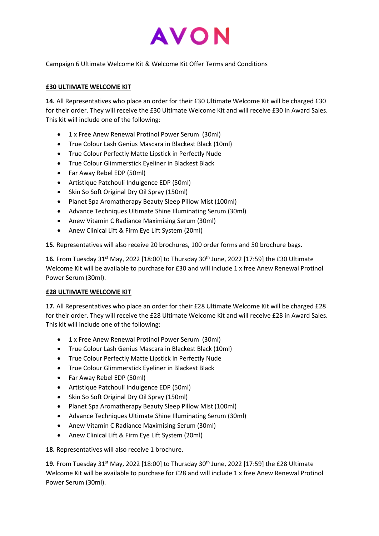

Campaign 6 Ultimate Welcome Kit & Welcome Kit Offer Terms and Conditions

## **£30 ULTIMATE WELCOME KIT**

**14.** All Representatives who place an order for their £30 Ultimate Welcome Kit will be charged £30 for their order. They will receive the £30 Ultimate Welcome Kit and will receive £30 in Award Sales. This kit will include one of the following:

- 1 x Free Anew Renewal Protinol Power Serum (30ml)
- True Colour Lash Genius Mascara in Blackest Black (10ml)
- True Colour Perfectly Matte Lipstick in Perfectly Nude
- True Colour Glimmerstick Eyeliner in Blackest Black
- Far Away Rebel EDP (50ml)
- Artistique Patchouli Indulgence EDP (50ml)
- Skin So Soft Original Dry Oil Spray (150ml)
- Planet Spa Aromatherapy Beauty Sleep Pillow Mist (100ml)
- Advance Techniques Ultimate Shine Illuminating Serum (30ml)
- Anew Vitamin C Radiance Maximising Serum (30ml)
- Anew Clinical Lift & Firm Eye Lift System (20ml)

**15.** Representatives will also receive 20 brochures, 100 order forms and 50 brochure bags.

16. From Tuesday 31<sup>st</sup> May, 2022 [18:00] to Thursday 30<sup>th</sup> June, 2022 [17:59] the £30 Ultimate Welcome Kit will be available to purchase for £30 and will include 1 x free Anew Renewal Protinol Power Serum (30ml).

### **£28 ULTIMATE WELCOME KIT**

**17.** All Representatives who place an order for their £28 Ultimate Welcome Kit will be charged £28 for their order. They will receive the £28 Ultimate Welcome Kit and will receive £28 in Award Sales. This kit will include one of the following:

- 1 x Free Anew Renewal Protinol Power Serum (30ml)
- True Colour Lash Genius Mascara in Blackest Black (10ml)
- True Colour Perfectly Matte Lipstick in Perfectly Nude
- True Colour Glimmerstick Eyeliner in Blackest Black
- Far Away Rebel EDP (50ml)
- Artistique Patchouli Indulgence EDP (50ml)
- Skin So Soft Original Dry Oil Spray (150ml)
- Planet Spa Aromatherapy Beauty Sleep Pillow Mist (100ml)
- Advance Techniques Ultimate Shine Illuminating Serum (30ml)
- Anew Vitamin C Radiance Maximising Serum (30ml)
- Anew Clinical Lift & Firm Eye Lift System (20ml)

**18.** Representatives will also receive 1 brochure.

**19.** From Tuesday 31<sup>st</sup> May, 2022 [18:00] to Thursday 30<sup>th</sup> June, 2022 [17:59] the £28 Ultimate Welcome Kit will be available to purchase for £28 and will include 1 x free Anew Renewal Protinol Power Serum (30ml).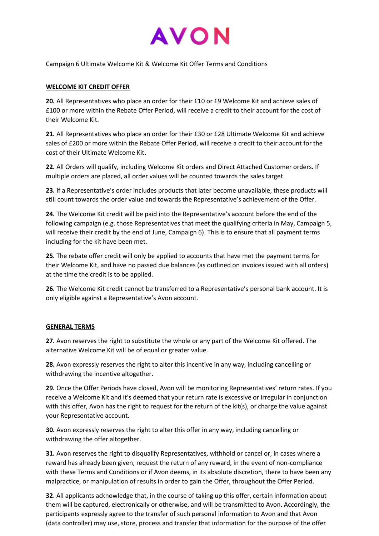

Campaign 6 Ultimate Welcome Kit & Welcome Kit Offer Terms and Conditions

## **WELCOME KIT CREDIT OFFER**

**20.** All Representatives who place an order for their £10 or £9 Welcome Kit and achieve sales of £100 or more within the Rebate Offer Period, will receive a credit to their account for the cost of their Welcome Kit.

**21.** All Representatives who place an order for their £30 or £28 Ultimate Welcome Kit and achieve sales of £200 or more within the Rebate Offer Period, will receive a credit to their account for the cost of their Ultimate Welcome Kit**.** 

**22.** All Orders will qualify, including Welcome Kit orders and Direct Attached Customer orders. If multiple orders are placed, all order values will be counted towards the sales target.

**23.** If a Representative's order includes products that later become unavailable, these products will still count towards the order value and towards the Representative's achievement of the Offer.

**24.** The Welcome Kit credit will be paid into the Representative's account before the end of the following campaign (e.g. those Representatives that meet the qualifying criteria in May, Campaign 5, will receive their credit by the end of June, Campaign 6). This is to ensure that all payment terms including for the kit have been met.

**25.** The rebate offer credit will only be applied to accounts that have met the payment terms for their Welcome Kit, and have no passed due balances (as outlined on invoices issued with all orders) at the time the credit is to be applied.

**26.** The Welcome Kit credit cannot be transferred to a Representative's personal bank account. It is only eligible against a Representative's Avon account.

### **GENERAL TERMS**

**27.** Avon reserves the right to substitute the whole or any part of the Welcome Kit offered. The alternative Welcome Kit will be of equal or greater value.

**28.** Avon expressly reserves the right to alter this incentive in any way, including cancelling or withdrawing the incentive altogether.

**29.** Once the Offer Periods have closed, Avon will be monitoring Representatives' return rates. If you receive a Welcome Kit and it's deemed that your return rate is excessive or irregular in conjunction with this offer, Avon has the right to request for the return of the kit(s), or charge the value against your Representative account.

**30.** Avon expressly reserves the right to alter this offer in any way, including cancelling or withdrawing the offer altogether.

**31.** Avon reserves the right to disqualify Representatives, withhold or cancel or, in cases where a reward has already been given, request the return of any reward, in the event of non-compliance with these Terms and Conditions or if Avon deems, in its absolute discretion, there to have been any malpractice, or manipulation of results in order to gain the Offer, throughout the Offer Period.

**32**. All applicants acknowledge that, in the course of taking up this offer, certain information about them will be captured, electronically or otherwise, and will be transmitted to Avon. Accordingly, the participants expressly agree to the transfer of such personal information to Avon and that Avon (data controller) may use, store, process and transfer that information for the purpose of the offer